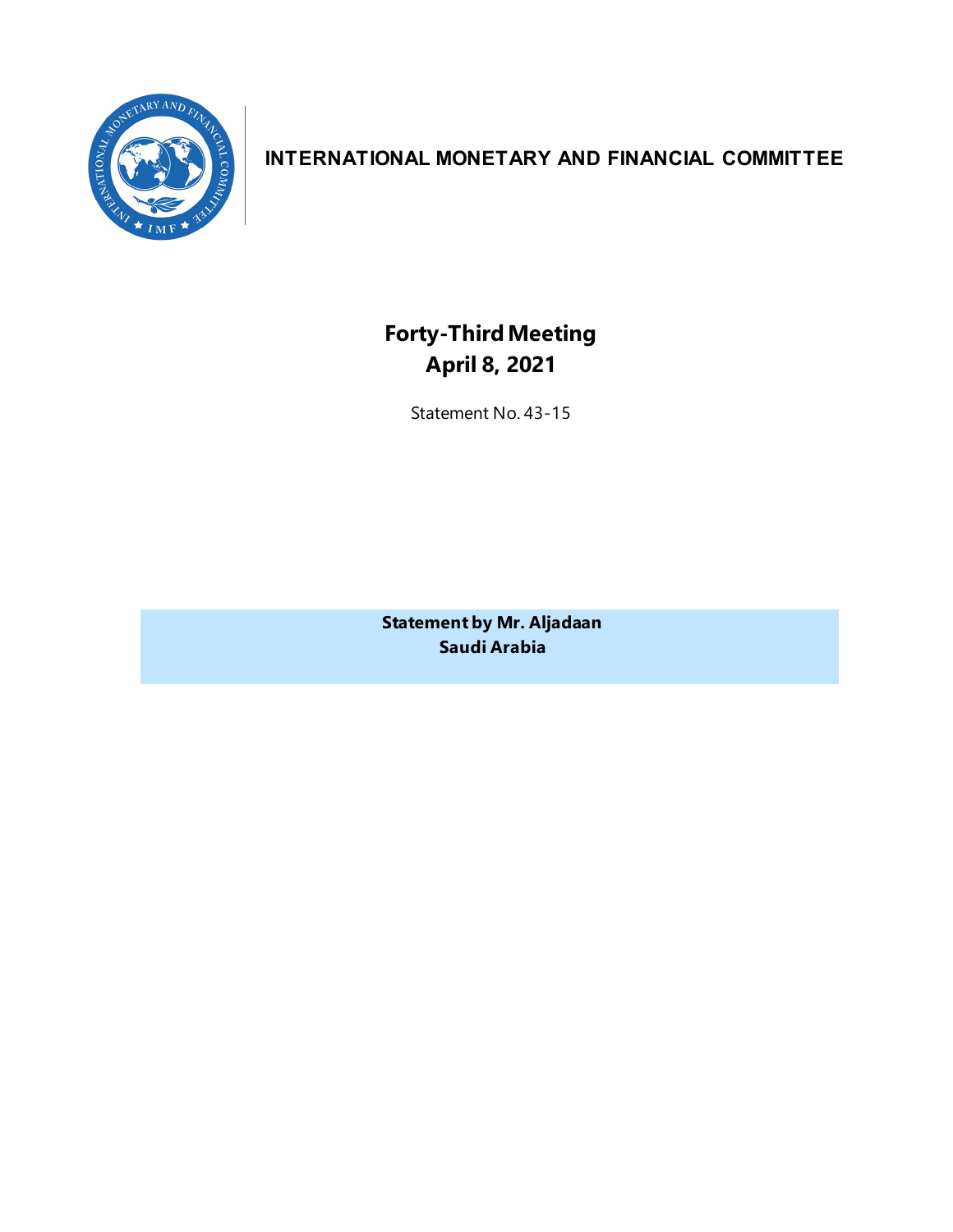

# **INTERNATIONAL MONETARY AND FINANCIAL COMMITTEE**

**Forty-ThirdMeeting April 8, 2021**

Statement No. 43-15

**Statement by Mr. Aljadaan Saudi Arabia**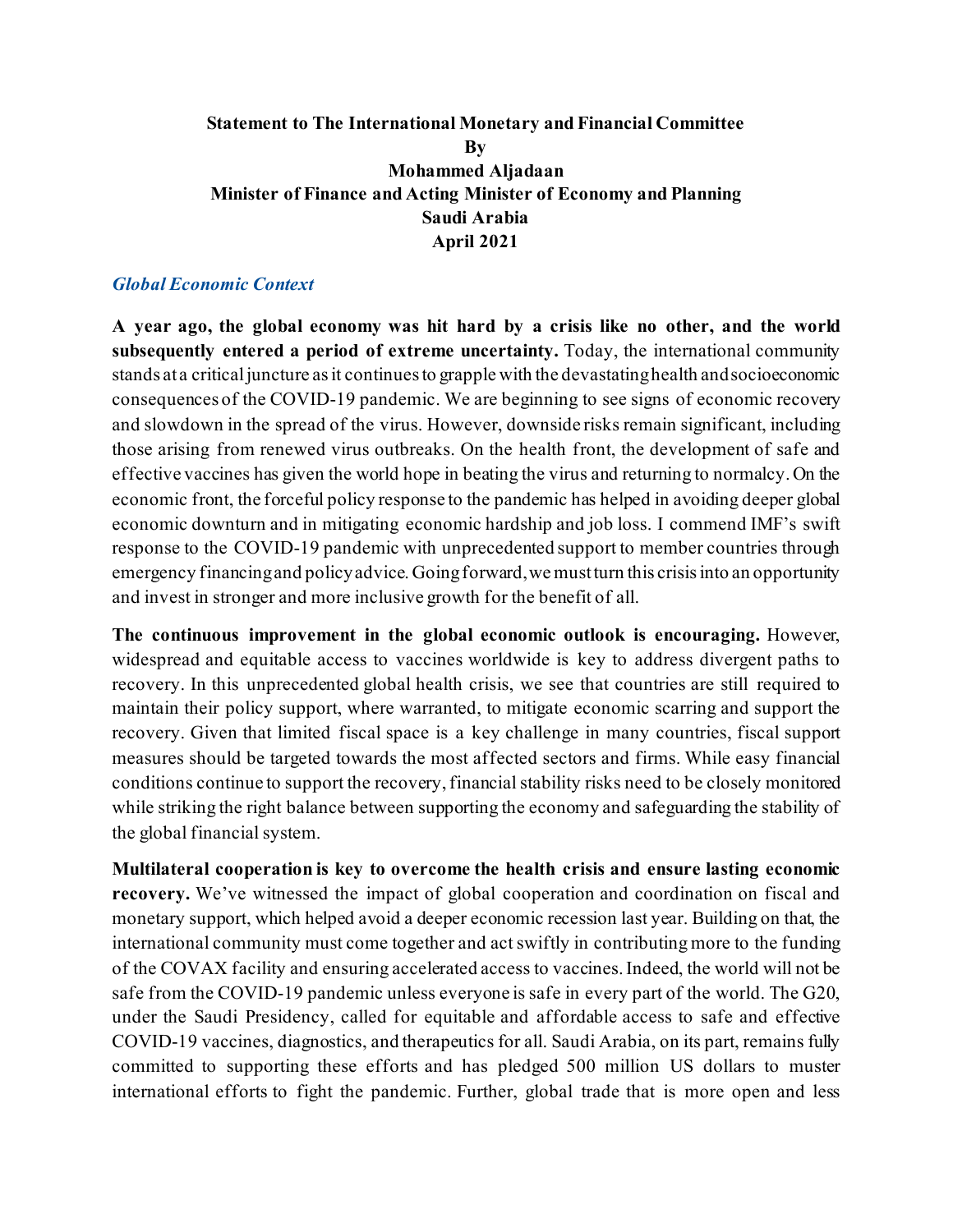## **Statement to The International Monetary and Financial Committee By Mohammed Aljadaan Minister of Finance and Acting Minister of Economy and Planning Saudi Arabia April 2021**

#### *Global Economic Context*

**A year ago, the global economy was hit hard by a crisis like no other, and the world subsequently entered a period of extreme uncertainty.** Today, the international community stands at a critical juncture as it continues to grapple with the devastating health and socioeconomic consequences of the COVID-19 pandemic. We are beginning to see signs of economic recovery and slowdown in the spread of the virus. However, downside risks remain significant, including those arising from renewed virus outbreaks. On the health front, the development of safe and effective vaccines has given the world hope in beating the virus and returning to normalcy. On the economic front, the forceful policy response to the pandemic has helped in avoiding deeper global economic downturn and in mitigating economic hardship and job loss. I commend IMF's swift response to the COVID-19 pandemic with unprecedented support to member countries through emergency financing and policy advice. Going forward, we must turn this crisis into an opportunity and invest in stronger and more inclusive growth for the benefit of all.

**The continuous improvement in the global economic outlook is encouraging.** However, widespread and equitable access to vaccines worldwide is key to address divergent paths to recovery. In this unprecedented global health crisis, we see that countries are still required to maintain their policy support, where warranted, to mitigate economic scarring and support the recovery. Given that limited fiscal space is a key challenge in many countries, fiscal support measures should be targeted towards the most affected sectors and firms. While easy financial conditions continue to support the recovery, financial stability risks need to be closely monitored while striking the right balance between supporting the economy and safeguarding the stability of the global financial system.

**Multilateral cooperation is key to overcome the health crisis and ensure lasting economic recovery.** We've witnessed the impact of global cooperation and coordination on fiscal and monetary support, which helped avoid a deeper economic recession last year. Building on that, the international community must come together and act swiftly in contributing more to the funding of the COVAX facility and ensuring accelerated access to vaccines. Indeed, the world will not be safe from the COVID-19 pandemic unless everyone is safe in every part of the world. The G20, under the Saudi Presidency, called for equitable and affordable access to safe and effective COVID-19 vaccines, diagnostics, and therapeutics for all. Saudi Arabia, on its part, remains fully committed to supporting these efforts and has pledged 500 million US dollars to muster international efforts to fight the pandemic. Further, global trade that is more open and less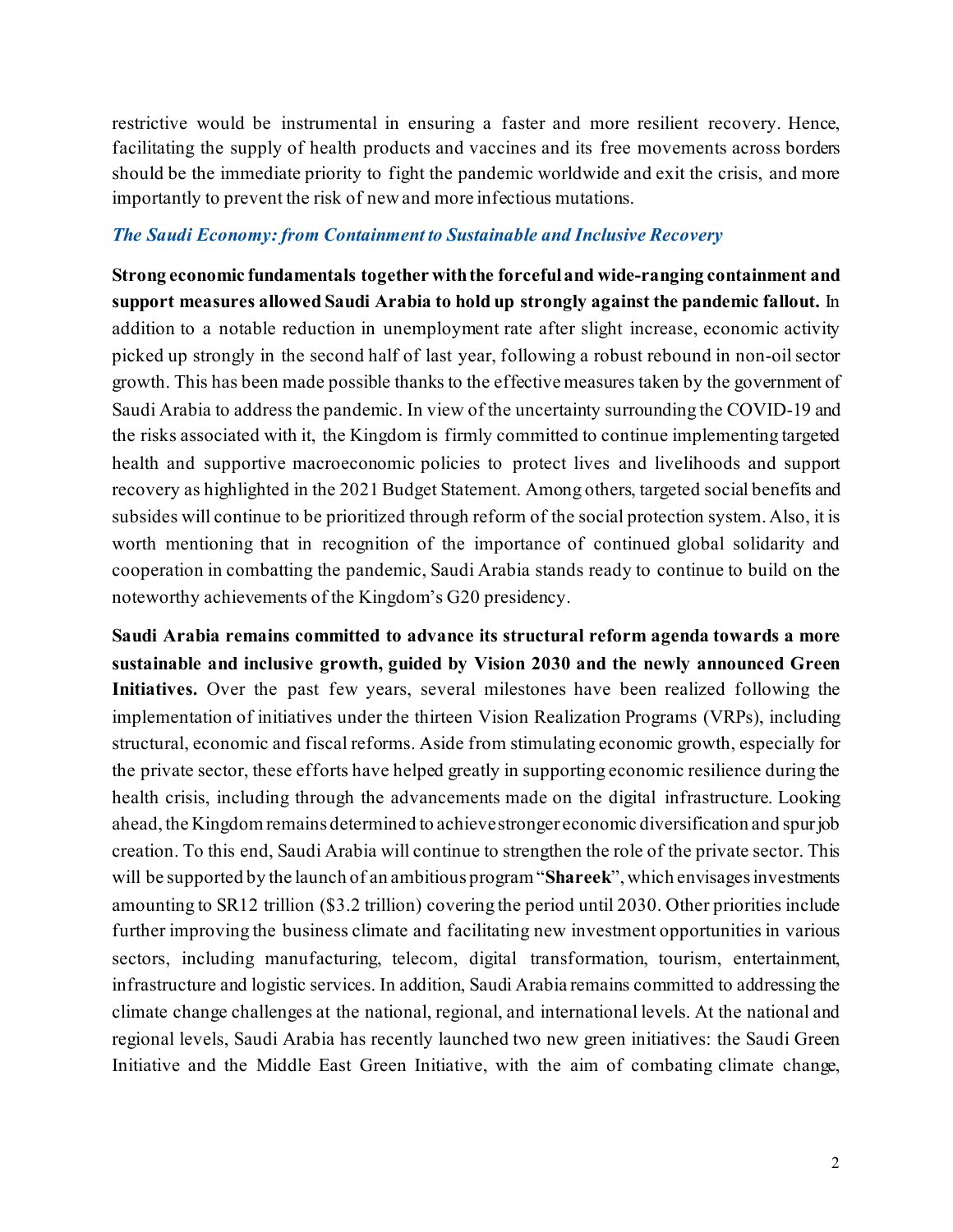restrictive would be instrumental in ensuring a faster and more resilient recovery. Hence, facilitating the supply of health products and vaccines and its free movements across borders should be the immediate priority to fight the pandemic worldwide and exit the crisis, and more importantly to prevent the risk of new and more infectious mutations.

#### *The Saudi Economy: from Containment to Sustainable and Inclusive Recovery*

**Strong economic fundamentals together with the forcefuland wide-ranging containment and support measures allowed Saudi Arabia to hold up strongly against the pandemic fallout.** In addition to a notable reduction in unemployment rate after slight increase, economic activity picked up strongly in the second half of last year, following a robust rebound in non-oil sector growth. This has been made possible thanks to the effective measures taken by the government of Saudi Arabia to address the pandemic. In view of the uncertainty surrounding the COVID-19 and the risks associated with it, the Kingdom is firmly committed to continue implementing targeted health and supportive macroeconomic policies to protect lives and livelihoods and support recovery as highlighted in the 2021 Budget Statement. Among others, targeted social benefits and subsides will continue to be prioritized through reform of the social protection system. Also, it is worth mentioning that in recognition of the importance of continued global solidarity and cooperation in combatting the pandemic, Saudi Arabia stands ready to continue to build on the noteworthy achievements of the Kingdom's G20 presidency.

**Saudi Arabia remains committed to advance its structural reform agenda towards a more sustainable and inclusive growth, guided by Vision 2030 and the newly announced Green Initiatives.** Over the past few years, several milestones have been realized following the implementation of initiatives under the thirteen Vision Realization Programs (VRPs), including structural, economic and fiscal reforms. Aside from stimulating economic growth, especially for the private sector, these efforts have helped greatly in supporting economic resilience during the health crisis, including through the advancements made on the digital infrastructure. Looking ahead, the Kingdom remains determined to achieve stronger economic diversification and spur job creation. To this end, Saudi Arabia will continue to strengthen the role of the private sector. This will be supported by the launch of an ambitious program "**Shareek**", which envisages investments amounting to SR12 trillion (\$3.2 trillion) covering the period until 2030. Other priorities include further improving the business climate and facilitating new investment opportunities in various sectors, including manufacturing, telecom, digital transformation, tourism, entertainment, infrastructure and logistic services. In addition, Saudi Arabia remains committed to addressing the climate change challenges at the national, regional, and international levels. At the national and regional levels, Saudi Arabia has recently launched two new green initiatives: the Saudi Green Initiative and the Middle East Green Initiative, with the aim of combating climate change,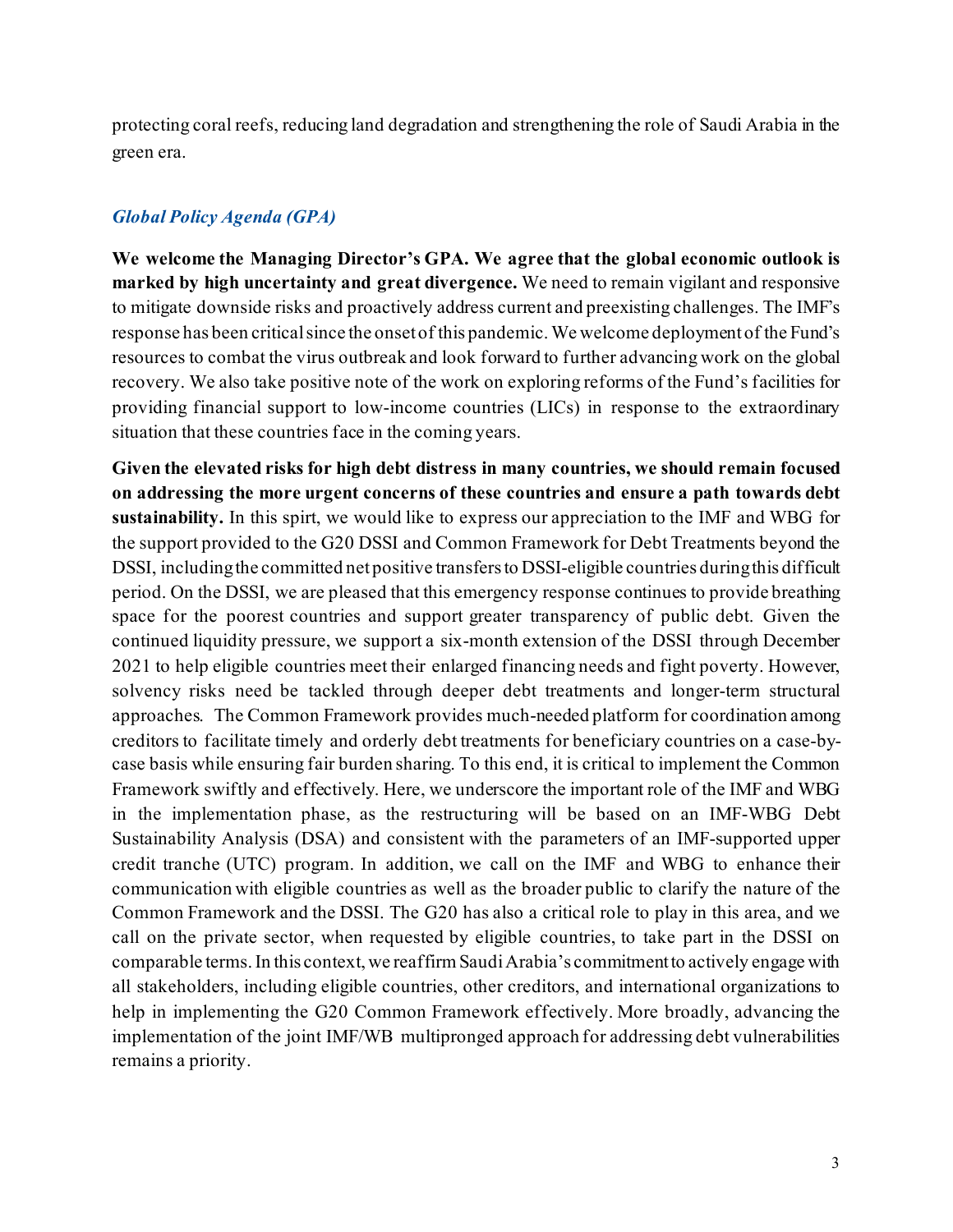protecting coral reefs, reducing land degradation and strengthening the role of Saudi Arabia in the green era.

### *Global Policy Agenda (GPA)*

**We welcome the Managing Director's GPA. We agree that the global economic outlook is marked by high uncertainty and great divergence.** We need to remain vigilant and responsive to mitigate downside risks and proactively address current and preexisting challenges. The IMF's response has been critical since the onset of this pandemic. We welcome deployment of the Fund's resources to combat the virus outbreak and look forward to further advancing work on the global recovery. We also take positive note of the work on exploring reforms of the Fund's facilities for providing financial support to low-income countries (LICs) in response to the extraordinary situation that these countries face in the coming years.

**Given the elevated risks for high debt distress in many countries, we should remain focused on addressing the more urgent concerns of these countries and ensure a path towards debt sustainability.** In this spirt, we would like to express our appreciation to the IMF and WBG for the support provided to the G20 DSSI and Common Framework for Debt Treatments beyond the DSSI, including the committed net positive transfers to DSSI-eligible countries during this difficult period. On the DSSI, we are pleased that this emergency response continues to provide breathing space for the poorest countries and support greater transparency of public debt. Given the continued liquidity pressure, we support a six-month extension of the DSSI through December 2021 to help eligible countries meet their enlarged financing needs and fight poverty. However, solvency risks need be tackled through deeper debt treatments and longer-term structural approaches. The Common Framework provides much-needed platform for coordination among creditors to facilitate timely and orderly debt treatments for beneficiary countries on a case-bycase basis while ensuring fair burden sharing. To this end, it is critical to implement the Common Framework swiftly and effectively. Here, we underscore the important role of the IMF and WBG in the implementation phase, as the restructuring will be based on an IMF-WBG Debt Sustainability Analysis (DSA) and consistent with the parameters of an IMF-supported upper credit tranche (UTC) program. In addition, we call on the IMF and WBG to enhance their communication with eligible countries as well as the broader public to clarify the nature of the Common Framework and the DSSI. The G20 has also a critical role to play in this area, and we call on the private sector, when requested by eligible countries, to take part in the DSSI on comparable terms. In this context, we reaffirm Saudi Arabia's commitmentto actively engage with all stakeholders, including eligible countries, other creditors, and international organizations to help in implementing the G20 Common Framework effectively. More broadly, advancing the implementation of the joint IMF/WB multipronged approach for addressing debt vulnerabilities remains a priority.